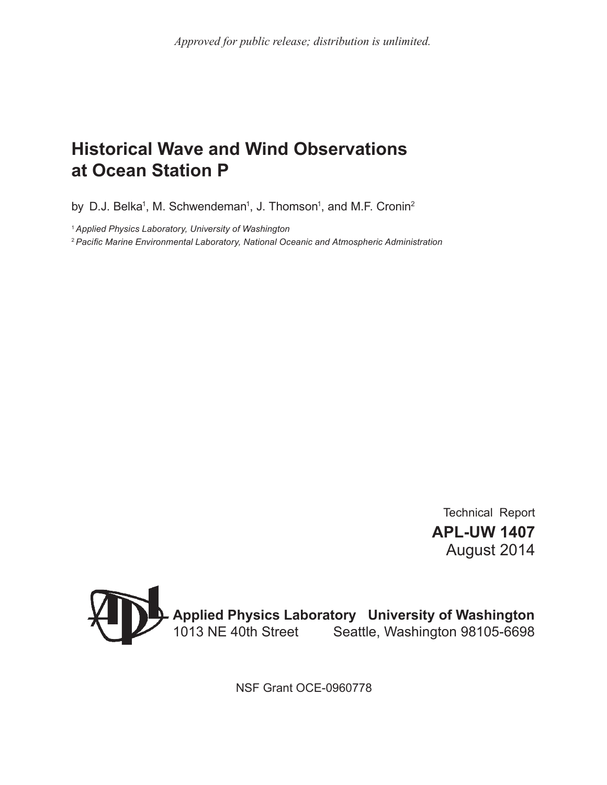# **Historical Wave and Wind Observations at Ocean Station P**

by D.J. Belka<sup>1</sup>, M. Schwendeman<sup>1</sup>, J. Thomson<sup>1</sup>, and M.F. Cronin<sup>2</sup>

<sup>1</sup>*Applied Physics Laboratory, University of Washington*

2 *Pacific Marine Environmental Laboratory, National Oceanic and Atmospheric Administration*

Technical Report **APL-UW 1407** August 2014



NSF Grant OCE-0960778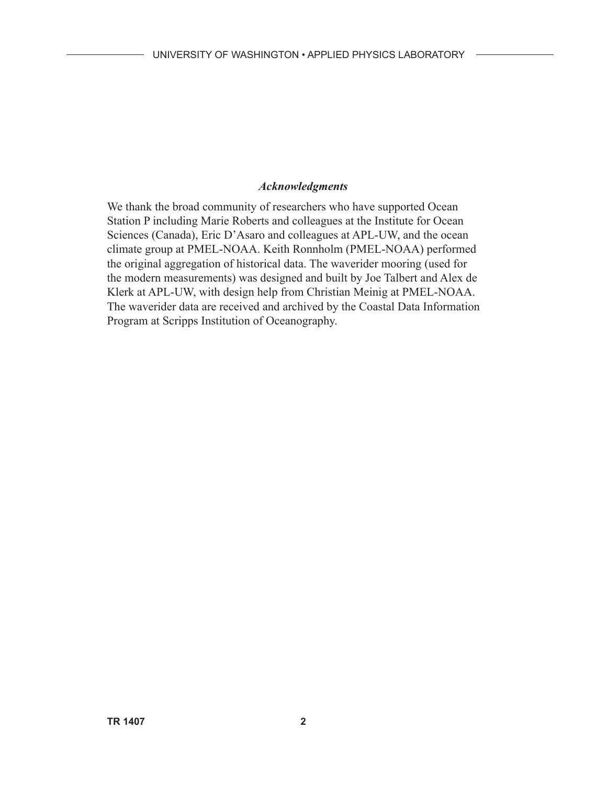### *Acknowledgments*

We thank the broad community of researchers who have supported Ocean Station P including Marie Roberts and colleagues at the Institute for Ocean Sciences (Canada), Eric D'Asaro and colleagues at APL-UW, and the ocean climate group at PMEL-NOAA. Keith Ronnholm (PMEL-NOAA) performed the original aggregation of historical data. The waverider mooring (used for the modern measurements) was designed and built by Joe Talbert and Alex de Klerk at APL-UW, with design help from Christian Meinig at PMEL-NOAA. The waverider data are received and archived by the Coastal Data Information Program at Scripps Institution of Oceanography.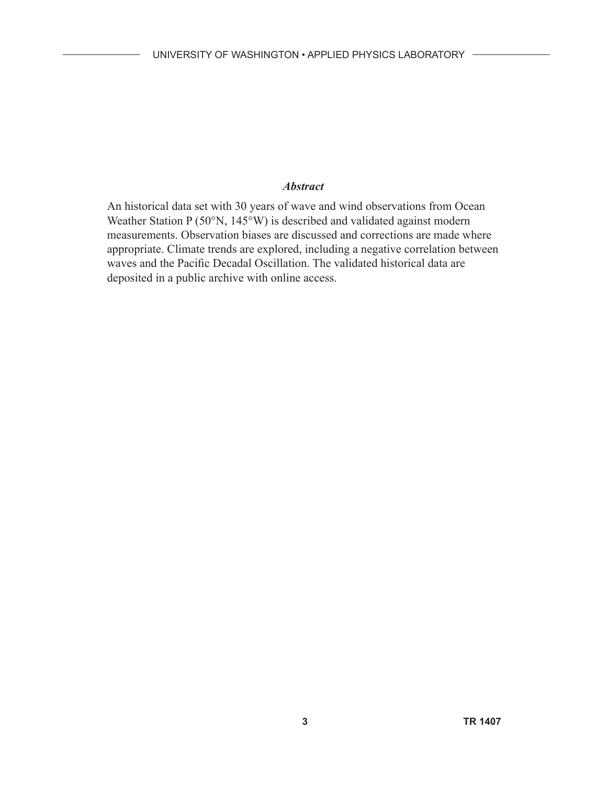## *Abstract*

An historical data set with 30 years of wave and wind observations from Ocean Weather Station P (50°N, 145°W) is described and validated against modern measurements. Observation biases are discussed and corrections are made where appropriate. Climate trends are explored, including a negative correlation between waves and the Pacific Decadal Oscillation. The validated historical data are deposited in a public archive with online access.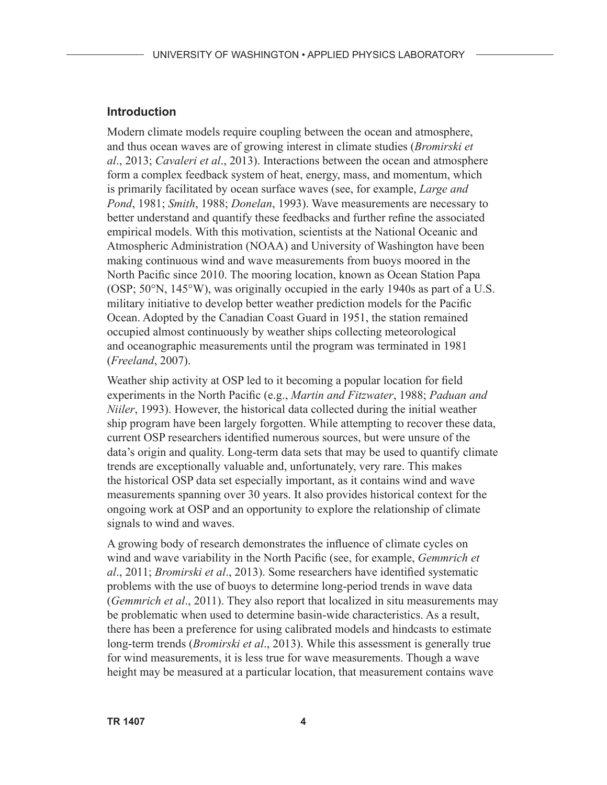#### **Introduction**

Modern climate models require coupling between the ocean and atmosphere, and thus ocean waves are of growing interest in climate studies (*Bromirski et al*., 2013; *Cavaleri et al*., 2013). Interactions between the ocean and atmosphere form a complex feedback system of heat, energy, mass, and momentum, which is primarily facilitated by ocean surface waves (see, for example, *Large and Pond*, 1981; *Smith*, 1988; *Donelan*, 1993). Wave measurements are necessary to better understand and quantify these feedbacks and further refine the associated empirical models. With this motivation, scientists at the National Oceanic and Atmospheric Administration (NOAA) and University of Washington have been making continuous wind and wave measurements from buoys moored in the North Pacific since 2010. The mooring location, known as Ocean Station Papa (OSP; 50°N, 145°W), was originally occupied in the early 1940s as part of a U.S. military initiative to develop better weather prediction models for the Pacific Ocean. Adopted by the Canadian Coast Guard in 1951, the station remained occupied almost continuously by weather ships collecting meteorological and oceanographic measurements until the program was terminated in 1981 (*Freeland*, 2007).

Weather ship activity at OSP led to it becoming a popular location for field experiments in the North Pacific (e.g., *Martin and Fitzwater*, 1988; *Paduan and Niiler*, 1993). However, the historical data collected during the initial weather ship program have been largely forgotten. While attempting to recover these data, current OSP researchers identified numerous sources, but were unsure of the data's origin and quality. Long-term data sets that may be used to quantify climate trends are exceptionally valuable and, unfortunately, very rare. This makes the historical OSP data set especially important, as it contains wind and wave measurements spanning over 30 years. It also provides historical context for the ongoing work at OSP and an opportunity to explore the relationship of climate signals to wind and waves.

A growing body of research demonstrates the influence of climate cycles on wind and wave variability in the North Pacific (see, for example, *Gemmrich et al*., 2011; *Bromirski et al*., 2013). Some researchers have identified systematic problems with the use of buoys to determine long-period trends in wave data (*Gemmrich et al*., 2011). They also report that localized in situ measurements may be problematic when used to determine basin-wide characteristics. As a result, there has been a preference for using calibrated models and hindcasts to estimate long-term trends (*Bromirski et al*., 2013). While this assessment is generally true for wind measurements, it is less true for wave measurements. Though a wave height may be measured at a particular location, that measurement contains wave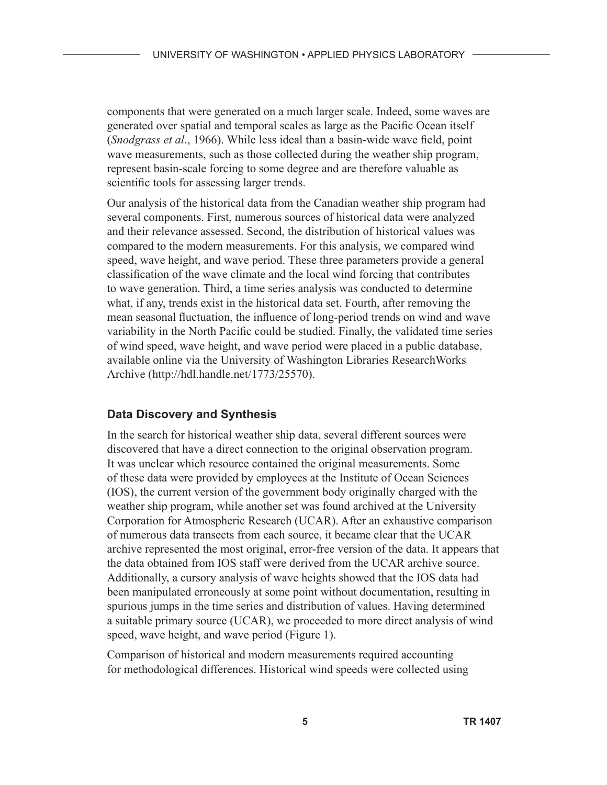components that were generated on a much larger scale. Indeed, some waves are generated over spatial and temporal scales as large as the Pacific Ocean itself (*Snodgrass et al*., 1966). While less ideal than a basin-wide wave field, point wave measurements, such as those collected during the weather ship program, represent basin-scale forcing to some degree and are therefore valuable as scientific tools for assessing larger trends.

Our analysis of the historical data from the Canadian weather ship program had several components. First, numerous sources of historical data were analyzed and their relevance assessed. Second, the distribution of historical values was compared to the modern measurements. For this analysis, we compared wind speed, wave height, and wave period. These three parameters provide a general classification of the wave climate and the local wind forcing that contributes to wave generation. Third, a time series analysis was conducted to determine what, if any, trends exist in the historical data set. Fourth, after removing the mean seasonal fluctuation, the influence of long-period trends on wind and wave variability in the North Pacific could be studied. Finally, the validated time series of wind speed, wave height, and wave period were placed in a public database, available online via the University of Washington Libraries ResearchWorks Archive (http://hdl.handle.net/1773/25570).

# **Data Discovery and Synthesis**

In the search for historical weather ship data, several different sources were discovered that have a direct connection to the original observation program. It was unclear which resource contained the original measurements. Some of these data were provided by employees at the Institute of Ocean Sciences (IOS), the current version of the government body originally charged with the weather ship program, while another set was found archived at the University Corporation for Atmospheric Research (UCAR). After an exhaustive comparison of numerous data transects from each source, it became clear that the UCAR archive represented the most original, error-free version of the data. It appears that the data obtained from IOS staff were derived from the UCAR archive source. Additionally, a cursory analysis of wave heights showed that the IOS data had been manipulated erroneously at some point without documentation, resulting in spurious jumps in the time series and distribution of values. Having determined a suitable primary source (UCAR), we proceeded to more direct analysis of wind speed, wave height, and wave period (Figure 1).

Comparison of historical and modern measurements required accounting for methodological differences. Historical wind speeds were collected using